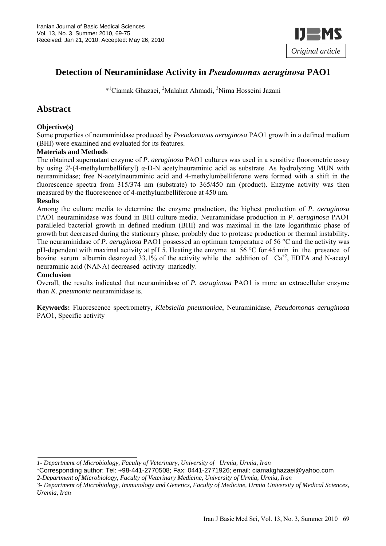

# **Detection of Neuraminidase Activity in** *Pseudomonas aeruginosa* **PAO1**

\*1 Ciamak Ghazaei, 2 Malahat Ahmadi, <sup>3</sup> Nima Hosseini Jazani

# **Abstract**

### **Objective(s)**

Some properties of neuraminidase produced by *Pseudomonas aeruginosa* PAO1 growth in a defined medium (BHI) were examined and evaluated for its features.

#### **Materials and Methods**

The obtained supernatant enzyme of *P. aeruginosa* PAO1 cultures was used in a sensitive fluorometric assay by using 2'-(4-methylumbelliferyl) α-D-N acetylneuraminic acid as substrate. As hydrolyzing MUN with neuraminidase; free N-acetylneuraminic acid and 4-methylumbelliferone were formed with a shift in the fluorescence spectra from 315/374 nm (substrate) to 365/450 nm (product). Enzyme activity was then measured by the fluorescence of 4-methylumbelliferone at 450 nm.

#### **Results**

Among the culture media to determine the enzyme production, the highest production of *P. aeruginosa*  PAO1 neuraminidase was found in BHI culture media. Neuraminidase production in *P. aeruginosa* PAO1 paralleled bacterial growth in defined medium (BHI) and was maximal in the late logarithmic phase of growth but decreased during the stationary phase, probably due to protease production or thermal instability. The neuraminidase of *P. aeruginosa* PAO1 possessed an optimum temperature of 56 °C and the activity was pH-dependent with maximal activity at pH 5. Heating the enzyme at 56 °C for 45 min in the presence of bovine serum albumin destroyed 33.1% of the activity while the addition of  $Ca^{+2}$ , EDTA and N-acetyl neuraminic acid (NANA) decreased activity markedly.

#### **Conclusion**

Overall, the results indicated that neuraminidase of *P. aeruginosa* PAO1 is more an extracellular enzyme than *K. pneumonia* neuraminidase is.

**Keywords:** Fluorescence spectrometry, *Klebsiella pneumoniae*, Neuraminidase, *Pseudomonas aeruginosa*  PAO1, Specific activity

*<sup>1-</sup> Department of Microbiology, Faculty of Veterinary, University of Urmia, Urmia, Iran*

<sup>\*</sup>Corresponding author: Tel: +98-441-2770508; Fax: 0441-2771926; email: ciamakghazaei@yahoo.com

*<sup>2-</sup>Department of Microbiology, Faculty of Veterinary Medicine, University of Urmia, Urmia, Iran* 

*<sup>3-</sup> Department of Microbiology, Immunology and Genetics, Faculty of Medicine, Urmia University of Medical Sciences, Uremia, Iran*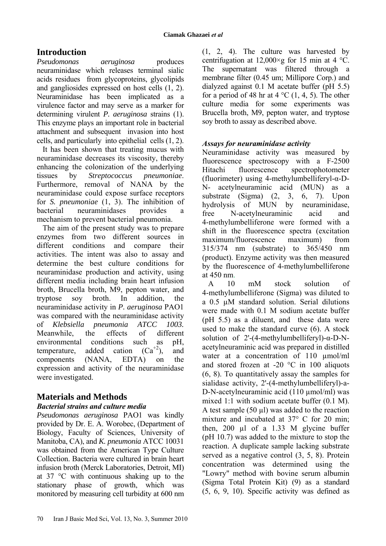# **Introduction**

*Pseudomonas aeruginosa* produces neuraminidase which releases terminal sialic acids residues from glycoproteins, glycolipids and gangliosides expressed on host cells (1, 2). Neuraminidase has been implicated as a virulence factor and may serve as a marker for determining virulent *P. aeruginosa* strains (1). This enzyme plays an important role in bacterial attachment and subsequent invasion into host cells, and particularly into epithelial cells (1, 2).

It has been shown that treating mucus with neuraminidase decreases its viscosity, thereby enhancing the colonization of the underlying tissues by *Streptococcus pneumoniae*. Furthermore, removal of NANA by the neuraminidase could expose surface receptors for *S. pneumoniae* (1, 3). The inhibition of bacterial neuraminidases provides a mechanism to prevent bacterial pneumonia.

The aim of the present study was to prepare enzymes from two different sources in different conditions and compare their activities. The intent was also to assay and determine the best culture conditions for neuraminidase production and activity, using different media including brain heart infusion broth, Brucella broth, M9, pepton water, and tryptose soy broth. In addition, the neuraminidase activity in *P. aeruginosa* PAO1 was compared with the neuraminidase activity of *Klebsiella pneumonia ATCC 1003.*  Meanwhile, the effects of different environmental conditions such as pH, temperature, added cation  $(Ca^{+2})$ , and components (NANA, EDTA) on the expression and activity of the neuraminidase were investigated.

# **Materials and Methods**

## *Bacterial strains and culture media*

*Pseudomonas aeruginosa* PAO1 was kindly provided by Dr. E. A. Worobec, (Department of Biology, Faculty of Sciences, University of Manitoba, CA), and *K. pneumonia* ATCC 10031 was obtained from the American Type Culture Collection. Bacteria were cultured in brain heart infusion broth (Merck Laboratories, Detroit, MI) at 37 °C with continuous shaking up to the stationary phase of growth, which was monitored by measuring cell turbidity at 600 nm

(1, 2, 4). The culture was harvested by centrifugation at  $12,000 \times g$  for 15 min at 4 °C. The supernatant was filtered through a membrane filter (0.45 um; Millipore Corp.) and dialyzed against 0.1 M acetate buffer (pH 5.5) for a period of 48 hr at 4  $^{\circ}$ C (1, 4, 5). The other culture media for some experiments was Brucella broth, M9, pepton water, and tryptose soy broth to assay as described above.

## *Assays for neuraminidase activity*

Neuraminidase activity was measured by fluorescence spectroscopy with a F-2500 Hitachi fluorescence spectrophotometer (fluorimeter) using 4-methylumbelliferyl-α-D-N- acetylneuraminic acid (MUN) as a substrate (Sigma) (2, 3, 6, 7). Upon hydrolysis of MUN by neuraminidase, free N-acetylneuraminic acid and 4-methylumbelliferone were formed with a shift in the fluorescence spectra (excitation maximum/fluorescence maximum) from 315/374 nm (substrate) to 365/450 nm (product). Enzyme activity was then measured by the fluorescence of 4-methylumbelliferone at 450 nm.

A 10 mM stock solution of 4-methylumbelliferone (Sigma) was diluted to a 0.5 µM standard solution. Serial dilutions were made with 0.1 M sodium acetate buffer (pH 5.5) as a diluent, and these data were used to make the standard curve (6). A stock solution of 2'-(4-methylumbelliferyl)-α-D-Nacetylneuraminic acid was prepared in distilled water at a concentration of 110  $\mu$ mol/ml and stored frozen at -20  $^{\circ}$ C in 100 aliquots (6, 8). To quantitatively assay the samples for sialidase activity, 2'-(4-methylumbelliferyl)-a-D-N-acetylneuraminic acid (110 µmol/ml) was mixed 1:1 with sodium acetate buffer (0.1 M). A test sample  $(50 \text{ µl})$  was added to the reaction mixture and incubated at 37° C for 20 min; then, 200  $\mu$ l of a 1.33 M glycine buffer (pH 10.7) was added to the mixture to stop the reaction. A duplicate sample lacking substrate served as a negative control (3, 5, 8). Protein concentration was determined using the "Lowry" method with bovine serum albumin (Sigma Total Protein Kit) (9) as a standard (5, 6, 9, 10). Specific activity was defined as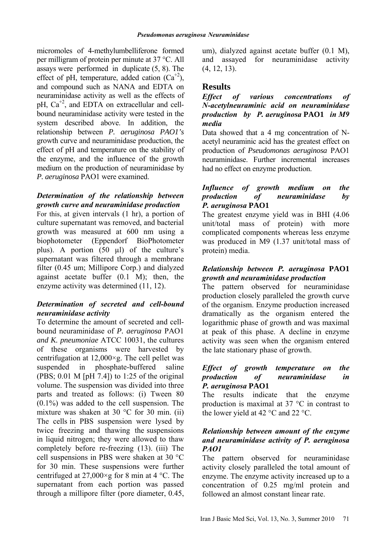micromoles of 4-methylumbelliferone formed per milligram of protein per minute at 37 °C. All assays were performed in duplicate (5, 8). The effect of pH, temperature, added cation  $(Ca^{2})$ , and compound such as NANA and EDTA on neuraminidase activity as well as the effects of pH,  $Ca^{+2}$ , and EDTA on extracellular and cellbound neuraminidase activity were tested in the system described above. In addition, the relationship between *P. aeruginosa PAO1's*  growth curve and neuraminidase production, the effect of pH and temperature on the stability of the enzyme, and the influence of the growth medium on the production of neuraminidase by *P. aeruginosa* PAO1 were examined.

## *Determination of the relationship between growth curve and neuraminidase production*

For this, at given intervals (1 hr), a portion of culture supernatant was removed, and bacterial growth was measured at 600 nm using a biophotometer (Eppendorf BioPhotometer plus). A portion (50 µl) of the culture's supernatant was filtered through a membrane filter (0.45 um; Millipore Corp.) and dialyzed against acetate buffer (0.1 M); then, the enzyme activity was determined (11, 12).

## *Determination of secreted and cell-bound neuraminidase activity*

To determine the amount of secreted and cellbound neuraminidase of *P. aeruginosa* PAO1 *and K. pneumoniae* ATCC 10031, the cultures of these organisms were harvested by centrifugation at  $12,000 \times g$ . The cell pellet was suspended in phosphate-buffered saline (PBS;  $0.01$  M [pH 7.4]) to 1:25 of the original volume. The suspension was divided into three parts and treated as follows: (i) Tween 80  $(0.1\%)$  was added to the cell suspension. The mixture was shaken at 30 °C for 30 min. (ii) The cells in PBS suspension were lysed by twice freezing and thawing the suspensions in liquid nitrogen; they were allowed to thaw completely before re-freezing (13). (iii) The cell suspensions in PBS were shaken at 30 °C for 30 min. These suspensions were further centrifuged at 27,000 $\times$ g for 8 min at 4 °C. The supernatant from each portion was passed through a millipore filter (pore diameter, 0.45, um), dialyzed against acetate buffer (0.1 M), and assayed for neuraminidase activity (4, 12, 13).

# **Results**

## *Effect of various concentrations of N-acetylneuraminic acid on neuraminidase production by P. aeruginosa* **PAO1** *in M9 media*

Data showed that a 4 mg concentration of Nacetyl neuraminic acid has the greatest effect on production of *Pseudomonas aeruginosa* PAO1 neuraminidase. Further incremental increases had no effect on enzyme production.

## *Influence of growth medium on the production of neuraminidase by P. aeruginosa* **PAO1**

The greatest enzyme yield was in BHI (4.06 unit/total mass of protein) with more complicated components whereas less enzyme was produced in M9 (1.37 unit/total mass of protein) media.

## *Relationship between P. aeruginosa* **PAO1**  *growth and neuraminidase production*

The pattern observed for neuraminidase production closely paralleled the growth curve of the organism. Enzyme production increased dramatically as the organism entered the logarithmic phase of growth and was maximal at peak of this phase. A decline in enzyme activity was seen when the organism entered the late stationary phase of growth.

### *Effect of growth temperature on the production of neuraminidase in P. aeruginosa* **PAO1**

The results indicate that the enzyme production is maximal at 37 °C in contrast to the lower yield at 42  $^{\circ}$ C and 22  $^{\circ}$ C.

## *Relationship between amount of the enzyme and neuraminidase activity of P. aeruginosa PAO1*

The pattern observed for neuraminidase activity closely paralleled the total amount of enzyme. The enzyme activity increased up to a concentration of 0.25 mg/ml protein and followed an almost constant linear rate.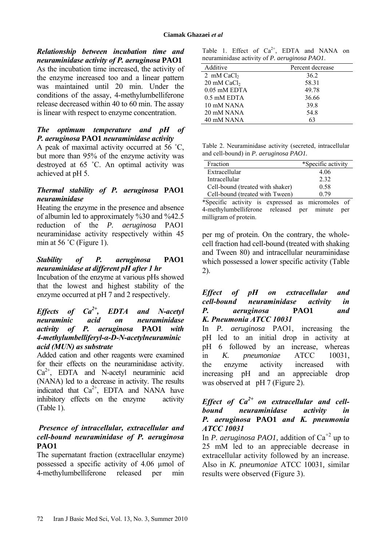*Relationship between incubation time and neuraminidase activity of P. aeruginosa* **PAO1** 

As the incubation time increased, the activity of the enzyme increased too and a linear pattern was maintained until 20 min. Under the conditions of the assay, 4-methylumbelliferone release decreased within 40 to 60 min. The assay is linear with respect to enzyme concentration.

## *The optimum temperature and pH of P. aeruginosa* **PAO1** *neuraminidase activity*

A peak of maximal activity occurred at 56 ˚C, but more than 95% of the enzyme activity was destroyed at 65 ˚C. An optimal activity was achieved at pH 5.

### *Thermal stability of P. aeruginosa* **PAO1**  *neuraminidase*

Heating the enzyme in the presence and absence of albumin led to approximately %30 and %42.5 reduction of the *P. aeruginosa* PAO1 neuraminidase activity respectively within 45 min at 56  $°C$  (Figure 1).

#### *Stability of P. aeruginosa* **PAO1**  *neuraminidase at different pH after 1 hr*

Incubation of the enzyme at various pHs showed that the lowest and highest stability of the enzyme occurred at pH 7 and 2 respectively.

## *Effects of Ca2+, EDTA and N-acetyl neuraminic acid on neuraminidase activity of P. aeruginosa* **PAO1** *with 4-methylumbelliferyl-α-D-N-acetylneuraminic acid (MUN) as substrate*

Added cation and other reagents were examined for their effects on the neuraminidase activity.  $Ca<sup>2+</sup>$ , EDTA and N-acetyl neuraminic acid (NANA) led to a decrease in activity. The results indicated that  $Ca^{2+}$ , EDTA and NANA have inhibitory effects on the enzyme activity (Table 1).

## *Presence of intracellular, extracellular and cell-bound neuraminidase of P. aeruginosa*  **PAO1**

The supernatant fraction (extracellular enzyme) possessed a specific activity of 4.06 µmol of 4-methylumbelliferone released per min

Table 1. Effect of  $Ca^{2+}$ , EDTA and NANA on neuraminidase activity of *P. aeruginosa PAO1*.

| Additive                           | Percent decrease |
|------------------------------------|------------------|
| 2 mM $CaCl2$                       | 36.2             |
| $20 \text{ mM }$ CaCl <sub>2</sub> | 58.31            |
| $0.05$ mM EDTA                     | 49.78            |
| 0.5 mM EDTA                        | 36.66            |
| 10 mM NANA                         | 39.8             |
| 20 mM NANA                         | 54.8             |
| 40 mM NANA                         | 63               |

Table 2. Neuraminidase activity (secreted, intracellular and cell-bound) in *P. aeruginosa PAO1.* 

| *Specific activity |
|--------------------|
| 4.06               |
| 2.32               |
| 0.58               |
| 0.79               |
|                    |

\*Specific activity is expressed as micromoles of 4-methylumbelliferone released per minute per milligram of protein.

per mg of protein. On the contrary, the wholecell fraction had cell-bound (treated with shaking and Tween 80) and intracellular neuraminidase which possessed a lower specific activity (Table 2).

*Effect of pH on extracellular and cell-bound neuraminidase activity in P. aeruginosa* **PAO1** *and K. Pneumonia ATCC 10031* 

In *P. aeruginosa* PAO1, increasing the pH led to an initial drop in activity at pH 6 followed by an increase, whereas in *K. pneumoniae* ATCC 10031, the enzyme activity increased with increasing pH and an appreciable drop was observed at pH 7 (Figure 2).

## *Effect of Ca2+ on extracellular and cellbound neuraminidase activity in P. aeruginosa* **PAO1** *and K. pneumonia ATCC 10031*

In *P. aeruginosa PAO1*, addition of  $Ca^{+2}$  up to 25 mM led to an appreciable decrease in extracellular activity followed by an increase. Also in *K. pneumoniae* ATCC 10031*,* similar results were observed (Figure 3).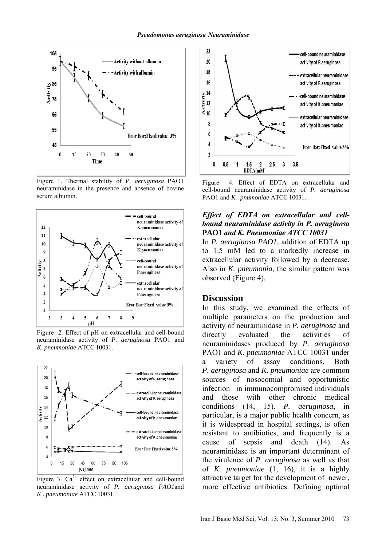

Figure 1. Thermal stability of *P. aeruginosa* PAO1 neuraminidase in the presence and absence of bovine serum albumin.



Figure 2. Effect of pH on extracellular and cell-bound neuraminidase activity of *P. aeruginosa* PAO1 and *K. pneumoniae* ATCC 10031*.* 



Figure 3.  $Ca^{2+}$  effect on extracellular and cell-bound neuraminidase activity of *P. aeruginosa PAO1*and *K . pneumoniae* ATCC 10031.



Figure 4. Effect of EDTA on extracellular and cell-bound neuraminidase activity of *P. aeruginosa*  PAO1 and *K. pnumoniae* ATCC 10031*.*

#### *Effect of EDTA on extracellular and cellbound neuraminidase activity in P. aeruginosa*  **PAO1** *and K. Pneumoniae ATCC 10031*

In *P. aeruginosa PAO1,* addition of EDTA up to 1.5 mM led to a markedly increase in extracellular activity followed by a decrease. Also in *K. pneumonia*, the similar pattern was observed (Figure 4).

## **Discussion**

In this study, we examined the effects of multiple parameters on the production and activity of neuraminidase in *P. aeruginosa* and directly evaluated the activities of neuraminidases produced by *P. aeruginosa* PAO1 and *K. pneumoniae* ATCC 10031 under a variety of assay conditions. Both *P. aeruginosa* and *K. pneumoniae* are common sources of nosocomial and opportunistic infection in immunocompromised individuals and those with other chronic medical conditions (14, 15). *P. aeruginosa*, in particular, is a major public health concern, as it is widespread in hospital settings, is often resistant to antibiotics, and frequently is a cause of sepsis and death (14). As neuraminidase is an important determinant of the virulence of *P. aeruginosa* as well as that of *K. pneumoniae* (1, 16), it is a highly attractive target for the development of newer, more effective antibiotics. Defining optimal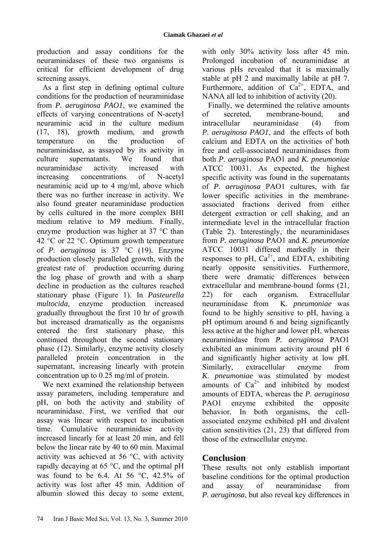production and assay conditions for the neuraminidases of these two organisms is critical for efficient development of drug screening assays.

As a first step in defining optimal culture conditions for the production of neuraminidase from *P. aeruginosa PAO1*, we examined the effects of varying concentrations of N-acetyl neuraminic acid in the culture medium (17, 18), growth medium, and growth temperature on the production of neuraminidase, as assayed by its activity in culture supernatants. We found that neuraminidase activity increased with increasing concentrations of N-acetyl neuraminic acid up to 4 mg/ml, above which there was no further increase in activity. We also found greater neuraminidase production by cells cultured in the more complex BHI medium relative to M9 medium. Finally, enzyme production was higher at 37 °C than 42 °C or 22 °C. Optimum growth temperature of *P. aeruginosa* is 37 °C (19). Enzyme production closely paralleled growth, with the greatest rate of production occurring during the log phase of growth and with a sharp decline in production as the cultures reached stationary phase (Figure 1). In *Pasteurella multocida,* enzyme production increased gradually throughout the first 10 hr of growth but increased dramatically as the organisms entered the first stationary phase, this continued throughout the second stationary phase (12). Similarly, enzyme activity closely paralleled protein concentration in the supernatant, increasing linearly with protein concentration up to 0.25 mg/ml of protein.

We next examined the relationship between assay parameters, including temperature and pH, on both the activity and stability of neuraminidase. First, we verified that our assay was linear with respect to incubation time. Cumulative neuraminidase activity increased linearly for at least 20 min, and fell below the linear rate by 40 to 60 min. Maximal activity was achieved at 56 °C, with activity rapidly decaying at 65 °C, and the optimal pH was found to be 6.4. At 56  $\degree$ C, 42.5% of activity was lost after 45 min. Addition of albumin slowed this decay to some extent,

with only 30% activity loss after 45 min. Prolonged incubation of neuraminidase at various pHs revealed that it is maximally stable at pH 2 and maximally labile at pH 7. Furthermore, addition of  $Ca^{2+}$ , EDTA, and NANA all led to inhibition of activity (20).

Finally, we determined the relative amounts of secreted membrane-bound and intracellular neuraminidase (4) from *P. aeruginosa PAO1*, and the effects of both calcium and EDTA on the activities of both free and cell-associated neuraminidases from both *P. aeruginosa* PAO1 and *K. pneumoniae*  ATCC 10031. As expected, the highest specific activity was found in the supernatants of *P. aeruginosa* PAO1 cultures, with far lower specific activities in the membraneassociated fractions derived from either detergent extraction or cell shaking, and an intermediate level in the intracellular fraction (Table 2). Interestingly, the neuraminidases from *P. aeruginosa* PAO1 and *K. pneumoniae* ATCC 10031 differed markedly in their responses to pH,  $Ca^{2+}$ , and EDTA, exhibiting nearly opposite sensitivities. Furthermore, there were dramatic differences between extracellular and membrane-bound forms (21, 22) for each organism. Extracellular neuraminidase from K*. pneumoniae* was found to be highly sensitive to pH, having a pH optimum around 6 and being significantly less active at the higher and lower pH, whereas neuraminidase from *P. aeruginosa* PAO1 exhibited an minimum activity around pH 6 and significantly higher activity at low pH. Similarly, extracellular enzyme from *K. pneumoniae* was stimulated by modest amounts of  $Ca^{2+}$  and inhibited by modest amounts of EDTA, whereas the *P. aeruginosa*  PAO1 enzyme exhibited the opposite behavior. In both organisms, the cellassociated enzyme exhibited pH and divalent cation sensitivities (21, 23) that differed from those of the extracellular enzyme.

# **Conclusion**

These results not only establish important baseline conditions for the optimal production and assay of neuraminidase from *P. aeruginosa*, but also reveal key differences in